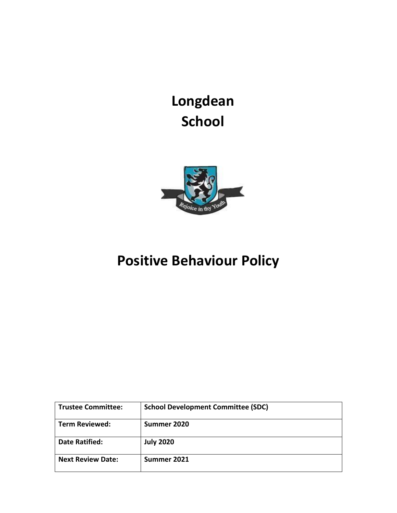**Longdean School**



# **Positive Behaviour Policy**

| <b>Trustee Committee:</b> | <b>School Development Committee (SDC)</b> |
|---------------------------|-------------------------------------------|
| <b>Term Reviewed:</b>     | Summer 2020                               |
| <b>Date Ratified:</b>     | <b>July 2020</b>                          |
| <b>Next Review Date:</b>  | Summer 2021                               |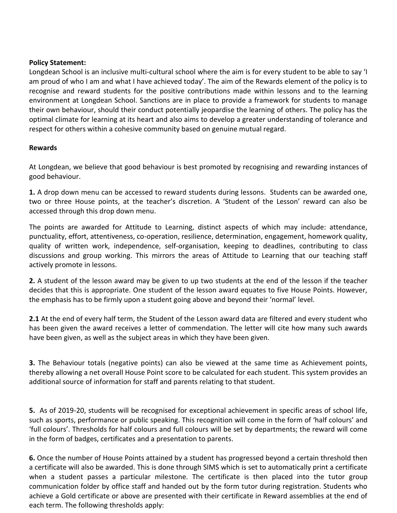## **Policy Statement:**

Longdean School is an inclusive multi-cultural school where the aim is for every student to be able to say 'I am proud of who I am and what I have achieved today'. The aim of the Rewards element of the policy is to recognise and reward students for the positive contributions made within lessons and to the learning environment at Longdean School. Sanctions are in place to provide a framework for students to manage their own behaviour, should their conduct potentially jeopardise the learning of others. The policy has the optimal climate for learning at its heart and also aims to develop a greater understanding of tolerance and respect for others within a cohesive community based on genuine mutual regard.

## **Rewards**

At Longdean, we believe that good behaviour is best promoted by recognising and rewarding instances of good behaviour.

**1.** A drop down menu can be accessed to reward students during lessons. Students can be awarded one, two or three House points, at the teacher's discretion. A 'Student of the Lesson' reward can also be accessed through this drop down menu.

The points are awarded for Attitude to Learning, distinct aspects of which may include: attendance, punctuality, effort, attentiveness, co-operation, resilience, determination, engagement, homework quality, quality of written work, independence, self-organisation, keeping to deadlines, contributing to class discussions and group working. This mirrors the areas of Attitude to Learning that our teaching staff actively promote in lessons.

**2.** A student of the lesson award may be given to up two students at the end of the lesson if the teacher decides that this is appropriate. One student of the lesson award equates to five House Points. However, the emphasis has to be firmly upon a student going above and beyond their 'normal' level.

**2.1** At the end of every half term, the Student of the Lesson award data are filtered and every student who has been given the award receives a letter of commendation. The letter will cite how many such awards have been given, as well as the subject areas in which they have been given.

**3.** The Behaviour totals (negative points) can also be viewed at the same time as Achievement points, thereby allowing a net overall House Point score to be calculated for each student. This system provides an additional source of information for staff and parents relating to that student.

**5.** As of 2019-20, students will be recognised for exceptional achievement in specific areas of school life, such as sports, performance or public speaking. This recognition will come in the form of 'half colours' and 'full colours'. Thresholds for half colours and full colours will be set by departments; the reward will come in the form of badges, certificates and a presentation to parents.

**6.** Once the number of House Points attained by a student has progressed beyond a certain threshold then a certificate will also be awarded. This is done through SIMS which is set to automatically print a certificate when a student passes a particular milestone. The certificate is then placed into the tutor group communication folder by office staff and handed out by the form tutor during registration. Students who achieve a Gold certificate or above are presented with their certificate in Reward assemblies at the end of each term. The following thresholds apply: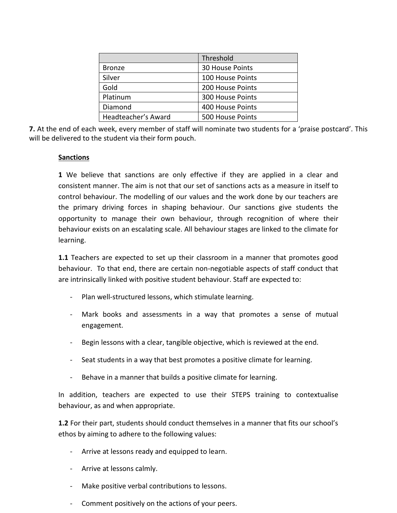|                     | Threshold               |  |
|---------------------|-------------------------|--|
| <b>Bronze</b>       | 30 House Points         |  |
| Silver              | 100 House Points        |  |
| Gold                | 200 House Points        |  |
| Platinum            | <b>300 House Points</b> |  |
| Diamond             | 400 House Points        |  |
| Headteacher's Award | 500 House Points        |  |

**7.** At the end of each week, every member of staff will nominate two students for a 'praise postcard'. This will be delivered to the student via their form pouch.

#### **Sanctions**

**1** We believe that sanctions are only effective if they are applied in a clear and consistent manner. The aim is not that our set of sanctions acts as a measure in itself to control behaviour. The modelling of our values and the work done by our teachers are the primary driving forces in shaping behaviour. Our sanctions give students the opportunity to manage their own behaviour, through recognition of where their behaviour exists on an escalating scale. All behaviour stages are linked to the climate for learning.

**1.1** Teachers are expected to set up their classroom in a manner that promotes good behaviour. To that end, there are certain non-negotiable aspects of staff conduct that are intrinsically linked with positive student behaviour. Staff are expected to:

- Plan well-structured lessons, which stimulate learning.
- Mark books and assessments in a way that promotes a sense of mutual engagement.
- Begin lessons with a clear, tangible objective, which is reviewed at the end.
- Seat students in a way that best promotes a positive climate for learning.
- Behave in a manner that builds a positive climate for learning.

In addition, teachers are expected to use their STEPS training to contextualise behaviour, as and when appropriate.

**1.2** For their part, students should conduct themselves in a manner that fits our school's ethos by aiming to adhere to the following values:

- Arrive at lessons ready and equipped to learn.
- Arrive at lessons calmly.
- Make positive verbal contributions to lessons.
- Comment positively on the actions of your peers.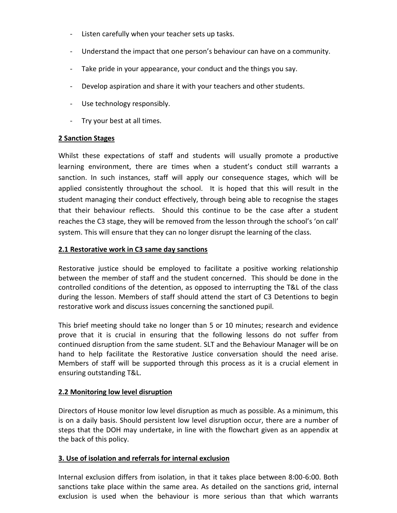- Listen carefully when your teacher sets up tasks.
- Understand the impact that one person's behaviour can have on a community.
- Take pride in your appearance, your conduct and the things you say.
- Develop aspiration and share it with your teachers and other students.
- Use technology responsibly.
- Try your best at all times.

## **2 Sanction Stages**

Whilst these expectations of staff and students will usually promote a productive learning environment, there are times when a student's conduct still warrants a sanction. In such instances, staff will apply our consequence stages, which will be applied consistently throughout the school. It is hoped that this will result in the student managing their conduct effectively, through being able to recognise the stages that their behaviour reflects. Should this continue to be the case after a student reaches the C3 stage, they will be removed from the lesson through the school's 'on call' system. This will ensure that they can no longer disrupt the learning of the class.

## **2.1 Restorative work in C3 same day sanctions**

Restorative justice should be employed to facilitate a positive working relationship between the member of staff and the student concerned. This should be done in the controlled conditions of the detention, as opposed to interrupting the T&L of the class during the lesson. Members of staff should attend the start of C3 Detentions to begin restorative work and discuss issues concerning the sanctioned pupil.

This brief meeting should take no longer than 5 or 10 minutes; research and evidence prove that it is crucial in ensuring that the following lessons do not suffer from continued disruption from the same student. SLT and the Behaviour Manager will be on hand to help facilitate the Restorative Justice conversation should the need arise. Members of staff will be supported through this process as it is a crucial element in ensuring outstanding T&L.

## **2.2 Monitoring low level disruption**

Directors of House monitor low level disruption as much as possible. As a minimum, this is on a daily basis. Should persistent low level disruption occur, there are a number of steps that the DOH may undertake, in line with the flowchart given as an appendix at the back of this policy.

## **3. Use of isolation and referrals for internal exclusion**

Internal exclusion differs from isolation, in that it takes place between 8:00-6:00. Both sanctions take place within the same area. As detailed on the sanctions grid, internal exclusion is used when the behaviour is more serious than that which warrants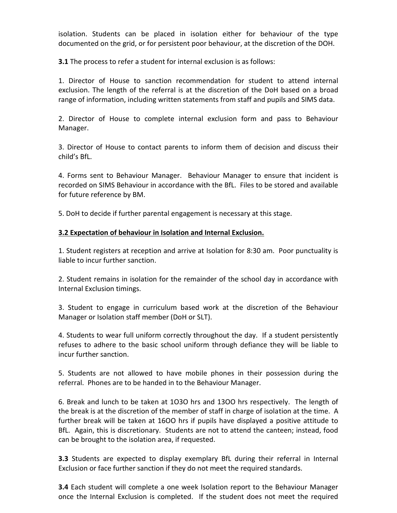isolation. Students can be placed in isolation either for behaviour of the type documented on the grid, or for persistent poor behaviour, at the discretion of the DOH.

**3.1** The process to refer a student for internal exclusion is as follows:

1. Director of House to sanction recommendation for student to attend internal exclusion. The length of the referral is at the discretion of the DoH based on a broad range of information, including written statements from staff and pupils and SIMS data.

2. Director of House to complete internal exclusion form and pass to Behaviour Manager.

3. Director of House to contact parents to inform them of decision and discuss their child's BfL.

4. Forms sent to Behaviour Manager. Behaviour Manager to ensure that incident is recorded on SIMS Behaviour in accordance with the BfL. Files to be stored and available for future reference by BM.

5. DoH to decide if further parental engagement is necessary at this stage.

## **3.2 Expectation of behaviour in Isolation and Internal Exclusion.**

1. Student registers at reception and arrive at Isolation for 8:30 am. Poor punctuality is liable to incur further sanction.

2. Student remains in isolation for the remainder of the school day in accordance with Internal Exclusion timings.

3. Student to engage in curriculum based work at the discretion of the Behaviour Manager or Isolation staff member (DoH or SLT).

4. Students to wear full uniform correctly throughout the day. If a student persistently refuses to adhere to the basic school uniform through defiance they will be liable to incur further sanction.

5. Students are not allowed to have mobile phones in their possession during the referral. Phones are to be handed in to the Behaviour Manager.

6. Break and lunch to be taken at 1O3O hrs and 13OO hrs respectively. The length of the break is at the discretion of the member of staff in charge of isolation at the time. A further break will be taken at 16OO hrs if pupils have displayed a positive attitude to BfL. Again, this is discretionary. Students are not to attend the canteen; instead, food can be brought to the isolation area, if requested.

**3.3** Students are expected to display exemplary BfL during their referral in Internal Exclusion or face further sanction if they do not meet the required standards.

**3.4** Each student will complete a one week Isolation report to the Behaviour Manager once the Internal Exclusion is completed. If the student does not meet the required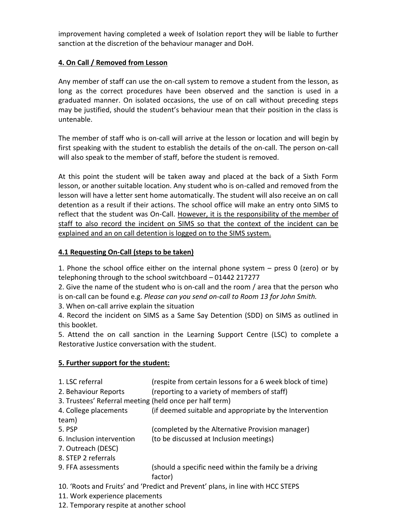improvement having completed a week of Isolation report they will be liable to further sanction at the discretion of the behaviour manager and DoH.

## **4. On Call / Removed from Lesson**

Any member of staff can use the on-call system to remove a student from the lesson, as long as the correct procedures have been observed and the sanction is used in a graduated manner. On isolated occasions, the use of on call without preceding steps may be justified, should the student's behaviour mean that their position in the class is untenable.

The member of staff who is on-call will arrive at the lesson or location and will begin by first speaking with the student to establish the details of the on-call. The person on-call will also speak to the member of staff, before the student is removed.

At this point the student will be taken away and placed at the back of a Sixth Form lesson, or another suitable location. Any student who is on-called and removed from the lesson will have a letter sent home automatically. The student will also receive an on call detention as a result if their actions. The school office will make an entry onto SIMS to reflect that the student was On-Call. However, it is the responsibility of the member of staff to also record the incident on SIMS so that the context of the incident can be explained and an on call detention is logged on to the SIMS system.

## **4.1 Requesting On-Call (steps to be taken)**

1. Phone the school office either on the internal phone system – press 0 (zero) or by telephoning through to the school switchboard – 01442 217277

2. Give the name of the student who is on-call and the room / area that the person who

is on-call can be found e.g. *Please can you send on-call to Room 13 for John Smith.*

3. When on-call arrive explain the situation

4. Record the incident on SIMS as a Same Say Detention (SDD) on SIMS as outlined in this booklet.

5. Attend the on call sanction in the Learning Support Centre (LSC) to complete a Restorative Justice conversation with the student.

## **5. Further support for the student:**

- 1. LSC referral (respite from certain lessons for a 6 week block of time)
- 2. Behaviour Reports (reporting to a variety of members of staff)
- 3. Trustees' Referral meeting (held once per half term)
- 4. College placements (if deemed suitable and appropriate by the Intervention team)
- 5. PSP (completed by the Alternative Provision manager)
- 6. Inclusion intervention (to be discussed at Inclusion meetings)
- 7. Outreach (DESC)
- 8. STEP 2 referrals
- 9. FFA assessments (should a specific need within the family be a driving factor)
- 10. 'Roots and Fruits' and 'Predict and Prevent' plans, in line with HCC STEPS
- 11. Work experience placements
- 12. Temporary respite at another school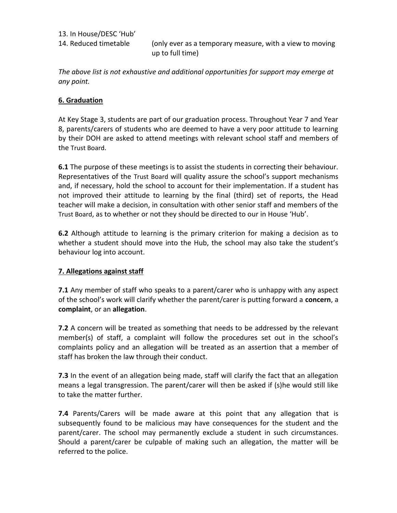13. In House/DESC 'Hub'

14. Reduced timetable (only ever as a temporary measure, with a view to moving up to full time)

*The above list is not exhaustive and additional opportunities for support may emerge at any point.*

## **6. Graduation**

At Key Stage 3, students are part of our graduation process. Throughout Year 7 and Year 8, parents/carers of students who are deemed to have a very poor attitude to learning by their DOH are asked to attend meetings with relevant school staff and members of the Trust Board.

**6.1** The purpose of these meetings is to assist the students in correcting their behaviour. Representatives of the Trust Board will quality assure the school's support mechanisms and, if necessary, hold the school to account for their implementation. If a student has not improved their attitude to learning by the final (third) set of reports, the Head teacher will make a decision, in consultation with other senior staff and members of the Trust Board, as to whether or not they should be directed to our in House 'Hub'.

**6.2** Although attitude to learning is the primary criterion for making a decision as to whether a student should move into the Hub, the school may also take the student's behaviour log into account.

#### **7. Allegations against staff**

**7.1** Any member of staff who speaks to a parent/carer who is unhappy with any aspect of the school's work will clarify whether the parent/carer is putting forward a **concern**, a **complaint**, or an **allegation**.

**7.2** A concern will be treated as something that needs to be addressed by the relevant member(s) of staff, a complaint will follow the procedures set out in the school's complaints policy and an allegation will be treated as an assertion that a member of staff has broken the law through their conduct.

**7.3** In the event of an allegation being made, staff will clarify the fact that an allegation means a legal transgression. The parent/carer will then be asked if (s)he would still like to take the matter further.

**7.4** Parents/Carers will be made aware at this point that any allegation that is subsequently found to be malicious may have consequences for the student and the parent/carer. The school may permanently exclude a student in such circumstances. Should a parent/carer be culpable of making such an allegation, the matter will be referred to the police.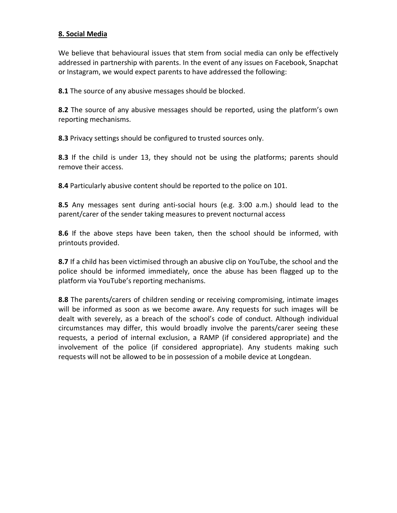## **8. Social Media**

We believe that behavioural issues that stem from social media can only be effectively addressed in partnership with parents. In the event of any issues on Facebook, Snapchat or Instagram, we would expect parents to have addressed the following:

**8.1** The source of any abusive messages should be blocked.

**8.2** The source of any abusive messages should be reported, using the platform's own reporting mechanisms.

**8.3** Privacy settings should be configured to trusted sources only.

**8.3** If the child is under 13, they should not be using the platforms; parents should remove their access.

**8.4** Particularly abusive content should be reported to the police on 101.

**8.5** Any messages sent during anti-social hours (e.g. 3:00 a.m.) should lead to the parent/carer of the sender taking measures to prevent nocturnal access

**8.6** If the above steps have been taken, then the school should be informed, with printouts provided.

**8.7** If a child has been victimised through an abusive clip on YouTube, the school and the police should be informed immediately, once the abuse has been flagged up to the platform via YouTube's reporting mechanisms.

**8.8** The parents/carers of children sending or receiving compromising, intimate images will be informed as soon as we become aware. Any requests for such images will be dealt with severely, as a breach of the school's code of conduct. Although individual circumstances may differ, this would broadly involve the parents/carer seeing these requests, a period of internal exclusion, a RAMP (if considered appropriate) and the involvement of the police (if considered appropriate). Any students making such requests will not be allowed to be in possession of a mobile device at Longdean.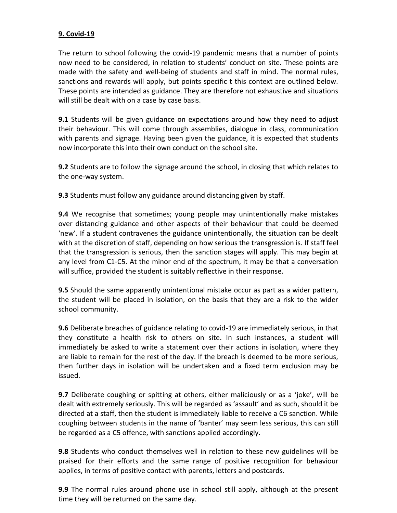## **9. Covid-19**

The return to school following the covid-19 pandemic means that a number of points now need to be considered, in relation to students' conduct on site. These points are made with the safety and well-being of students and staff in mind. The normal rules, sanctions and rewards will apply, but points specific t this context are outlined below. These points are intended as guidance. They are therefore not exhaustive and situations will still be dealt with on a case by case basis.

**9.1** Students will be given guidance on expectations around how they need to adjust their behaviour. This will come through assemblies, dialogue in class, communication with parents and signage. Having been given the guidance, it is expected that students now incorporate this into their own conduct on the school site.

**9.2** Students are to follow the signage around the school, in closing that which relates to the one-way system.

**9.3** Students must follow any guidance around distancing given by staff.

**9.4** We recognise that sometimes; young people may unintentionally make mistakes over distancing guidance and other aspects of their behaviour that could be deemed 'new'. If a student contravenes the guidance unintentionally, the situation can be dealt with at the discretion of staff, depending on how serious the transgression is. If staff feel that the transgression is serious, then the sanction stages will apply. This may begin at any level from C1-C5. At the minor end of the spectrum, it may be that a conversation will suffice, provided the student is suitably reflective in their response.

**9.5** Should the same apparently unintentional mistake occur as part as a wider pattern, the student will be placed in isolation, on the basis that they are a risk to the wider school community.

**9.6** Deliberate breaches of guidance relating to covid-19 are immediately serious, in that they constitute a health risk to others on site. In such instances, a student will immediately be asked to write a statement over their actions in isolation, where they are liable to remain for the rest of the day. If the breach is deemed to be more serious, then further days in isolation will be undertaken and a fixed term exclusion may be issued.

**9.7** Deliberate coughing or spitting at others, either maliciously or as a 'joke', will be dealt with extremely seriously. This will be regarded as 'assault' and as such, should it be directed at a staff, then the student is immediately liable to receive a C6 sanction. While coughing between students in the name of 'banter' may seem less serious, this can still be regarded as a C5 offence, with sanctions applied accordingly.

**9.8** Students who conduct themselves well in relation to these new guidelines will be praised for their efforts and the same range of positive recognition for behaviour applies, in terms of positive contact with parents, letters and postcards.

**9.9** The normal rules around phone use in school still apply, although at the present time they will be returned on the same day.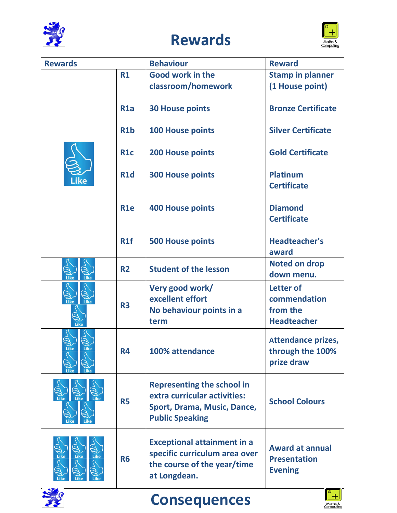

**THE READ** 

# **Rewards**



 $H$ 

Maths &<br>Computing

| <b>Rewards</b>              |                  | <b>Behaviour</b>                                                                                                           | <b>Reward</b>                                                   |
|-----------------------------|------------------|----------------------------------------------------------------------------------------------------------------------------|-----------------------------------------------------------------|
|                             | R1               | Good work in the                                                                                                           | <b>Stamp in planner</b>                                         |
|                             |                  | classroom/homework                                                                                                         | (1 House point)                                                 |
|                             | R <sub>1</sub> a | <b>30 House points</b>                                                                                                     | <b>Bronze Certificate</b>                                       |
|                             | R <sub>1</sub> b | <b>100 House points</b>                                                                                                    | <b>Silver Certificate</b>                                       |
|                             | <b>R1c</b>       | <b>200 House points</b>                                                                                                    | <b>Gold Certificate</b>                                         |
|                             | <b>R1d</b>       | <b>300 House points</b>                                                                                                    | <b>Platinum</b><br><b>Certificate</b>                           |
|                             | <b>R1e</b>       | <b>400 House points</b>                                                                                                    | <b>Diamond</b><br><b>Certificate</b>                            |
|                             | R1f              | <b>500 House points</b>                                                                                                    | <b>Headteacher's</b><br>award                                   |
| Like                        | <b>R2</b>        | <b>Student of the lesson</b>                                                                                               | <b>Noted on drop</b><br>down menu.                              |
|                             | <b>R3</b>        | Very good work/                                                                                                            | <b>Letter of</b>                                                |
| Like                        |                  | excellent effort                                                                                                           | commendation                                                    |
| Like                        |                  | No behaviour points in a                                                                                                   | from the                                                        |
|                             |                  | term                                                                                                                       | <b>Headteacher</b>                                              |
| <b>Like</b><br>Like         | <b>R4</b>        | 100% attendance                                                                                                            | <b>Attendance prizes,</b><br>through the 100%<br>prize draw     |
| <b>Like</b><br>Like<br>Like | <b>R5</b>        | <b>Representing the school in</b><br>extra curricular activities:<br>Sport, Drama, Music, Dance,<br><b>Public Speaking</b> | <b>School Colours</b>                                           |
| Like<br>Like                | <b>R6</b>        | <b>Exceptional attainment in a</b><br>specific curriculum area over<br>the course of the year/time<br>at Longdean.         | <b>Award at annual</b><br><b>Presentation</b><br><b>Evening</b> |

**Consequences**